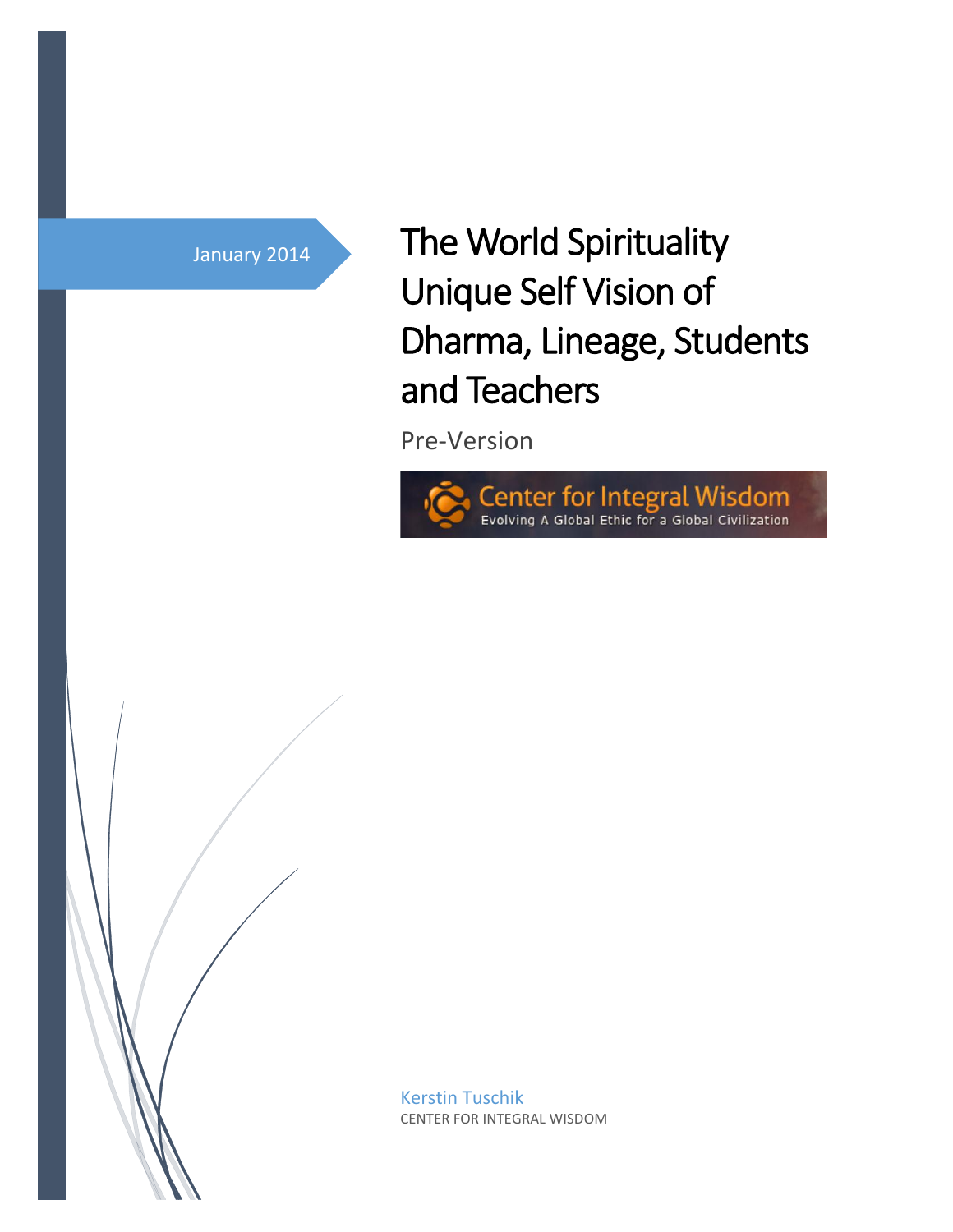## January 2014

# The World Spirituality Unique Self Vision of Dharma, Lineage, Students and Teachers

Pre-Version





Kerstin Tuschik CENTER FOR INTEGRAL WISDOM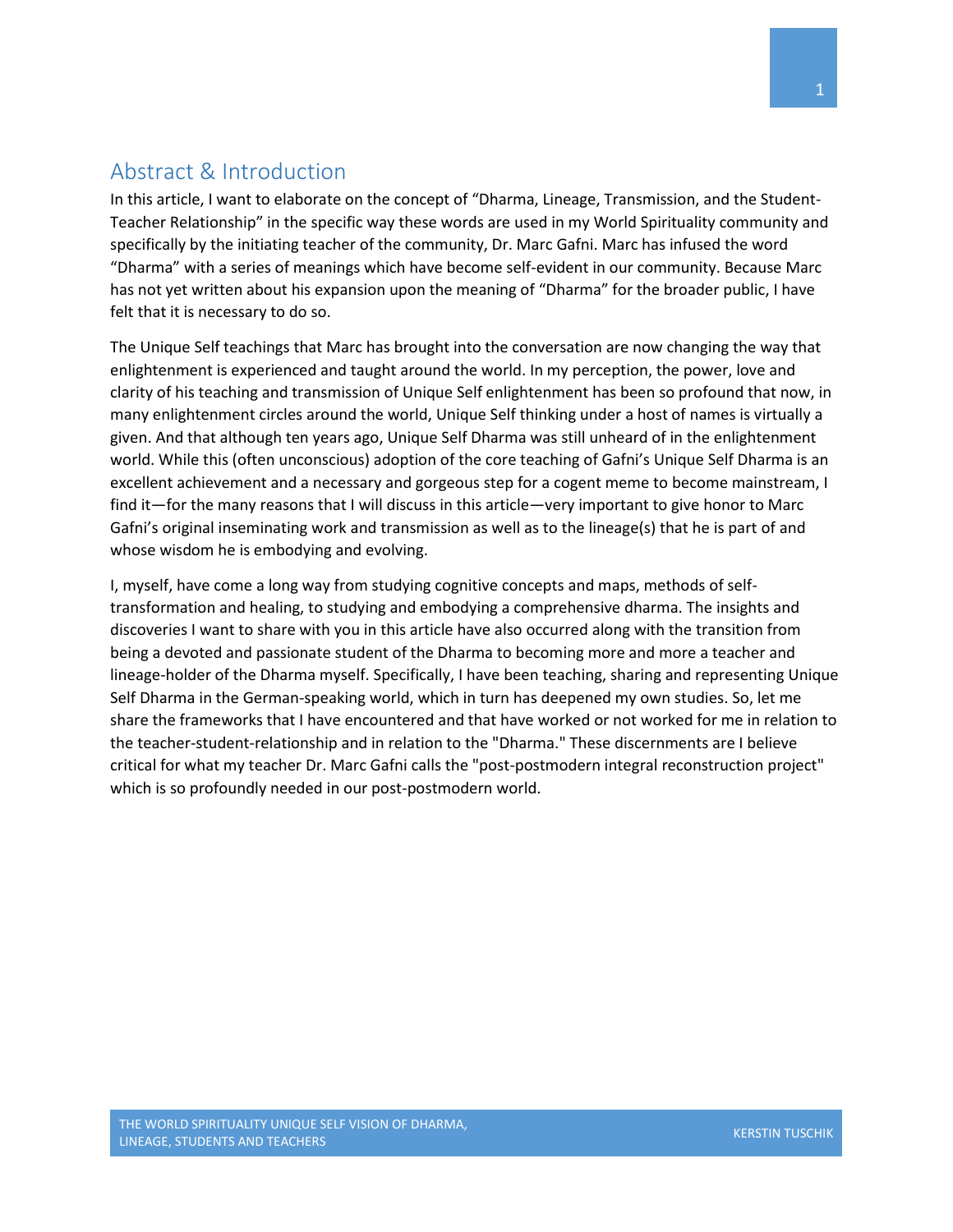## <span id="page-1-0"></span>Abstract & Introduction

In this article, I want to elaborate on the concept of "Dharma, Lineage, Transmission, and the Student-Teacher Relationship" in the specific way these words are used in my World Spirituality community and specifically by the initiating teacher of the community, Dr. Marc Gafni. Marc has infused the word "Dharma" with a series of meanings which have become self-evident in our community. Because Marc has not yet written about his expansion upon the meaning of "Dharma" for the broader public, I have felt that it is necessary to do so.

The Unique Self teachings that Marc has brought into the conversation are now changing the way that enlightenment is experienced and taught around the world. In my perception, the power, love and clarity of his teaching and transmission of Unique Self enlightenment has been so profound that now, in many enlightenment circles around the world, Unique Self thinking under a host of names is virtually a given. And that although ten years ago, Unique Self Dharma was still unheard of in the enlightenment world. While this (often unconscious) adoption of the core teaching of Gafni's Unique Self Dharma is an excellent achievement and a necessary and gorgeous step for a cogent meme to become mainstream, I find it—for the many reasons that I will discuss in this article—very important to give honor to Marc Gafni's original inseminating work and transmission as well as to the lineage(s) that he is part of and whose wisdom he is embodying and evolving.

I, myself, have come a long way from studying cognitive concepts and maps, methods of selftransformation and healing, to studying and embodying a comprehensive dharma. The insights and discoveries I want to share with you in this article have also occurred along with the transition from being a devoted and passionate student of the Dharma to becoming more and more a teacher and lineage-holder of the Dharma myself. Specifically, I have been teaching, sharing and representing Unique Self Dharma in the German-speaking world, which in turn has deepened my own studies. So, let me share the frameworks that I have encountered and that have worked or not worked for me in relation to the teacher-student-relationship and in relation to the "Dharma." These discernments are I believe critical for what my teacher Dr. Marc Gafni calls the "post-postmodern integral reconstruction project" which is so profoundly needed in our post-postmodern world.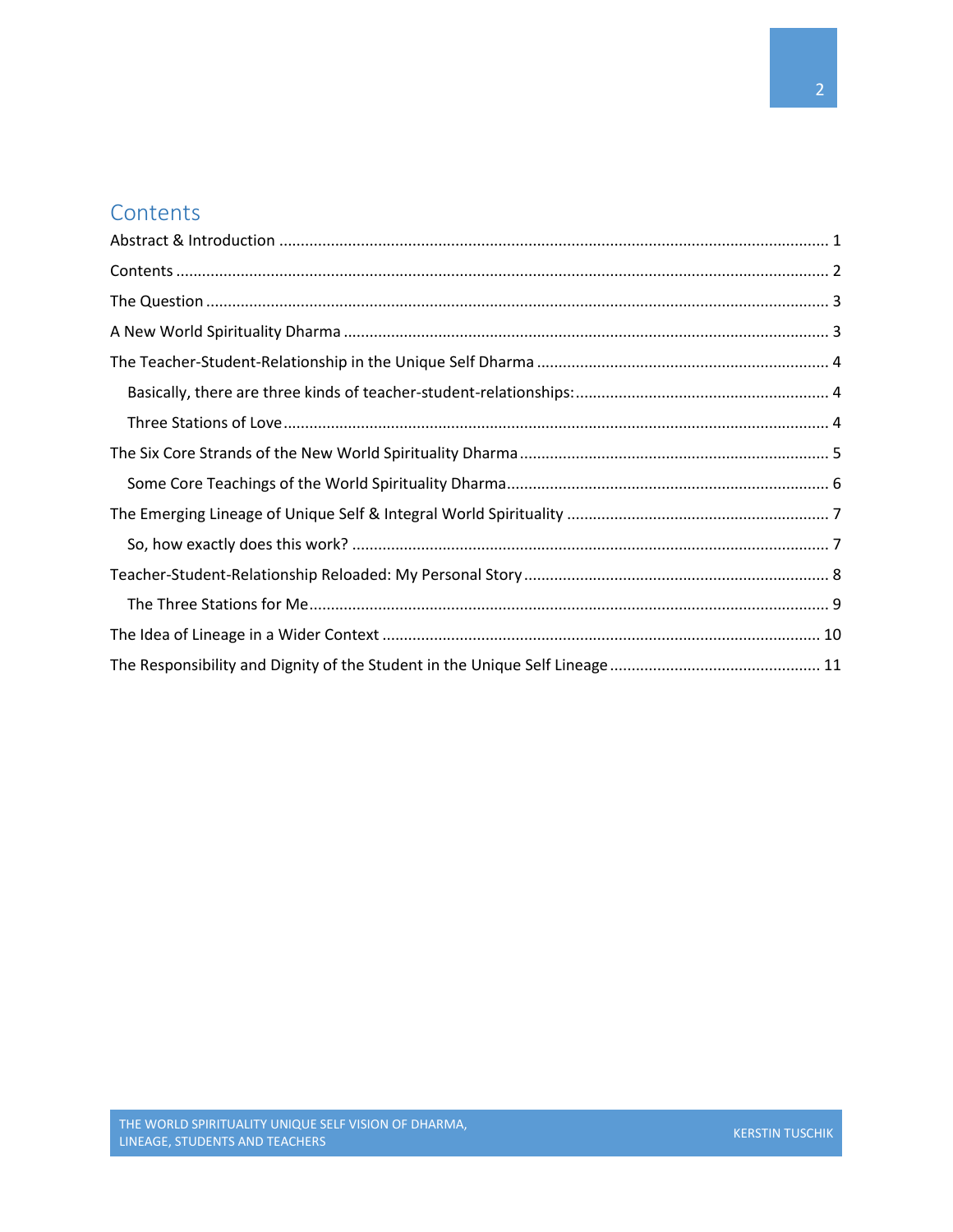## <span id="page-2-0"></span>**Contents**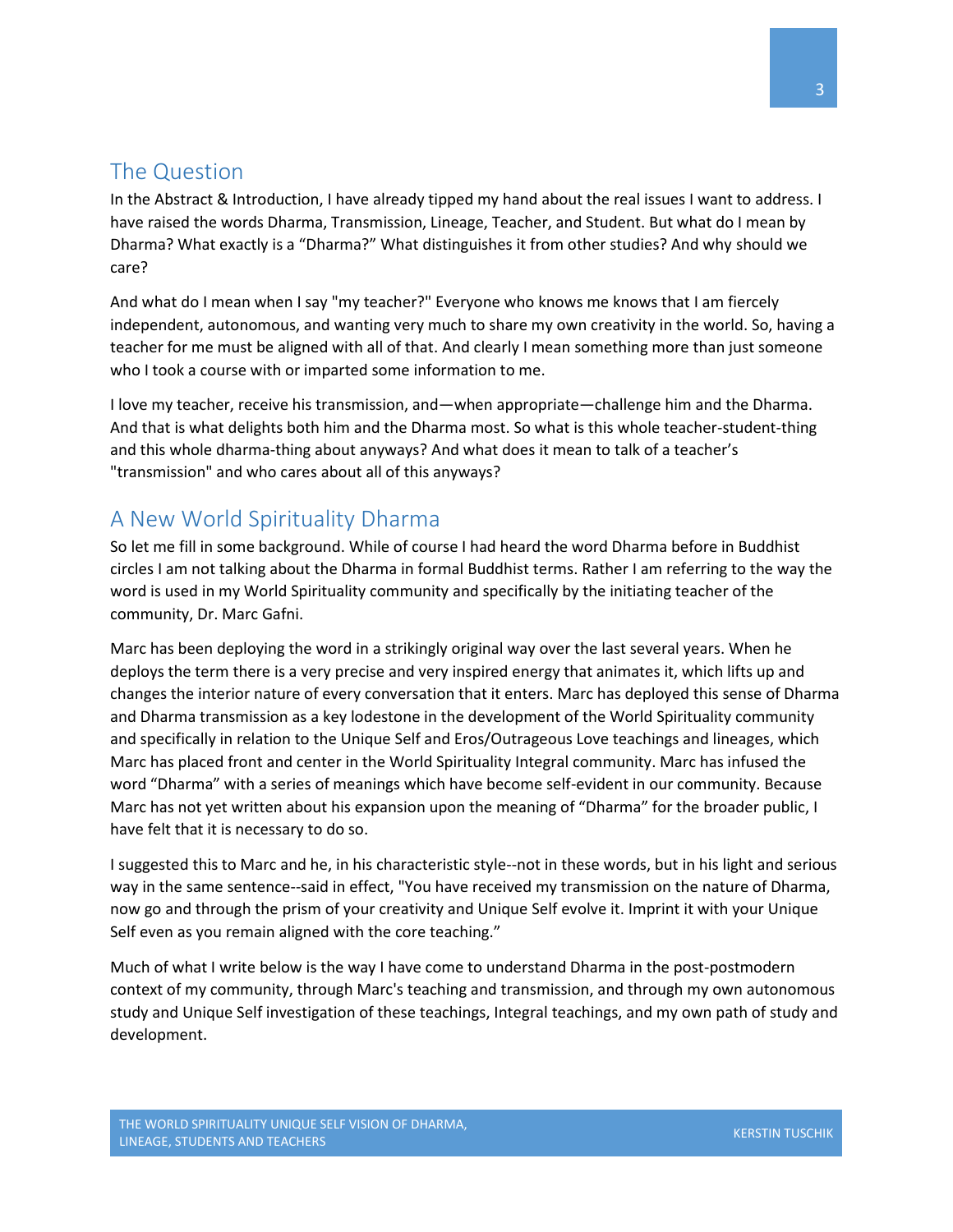### <span id="page-3-0"></span>The Question

In the Abstract & Introduction, I have already tipped my hand about the real issues I want to address. I have raised the words Dharma, Transmission, Lineage, Teacher, and Student. But what do I mean by Dharma? What exactly is a "Dharma?" What distinguishes it from other studies? And why should we care?

And what do I mean when I say "my teacher?" Everyone who knows me knows that I am fiercely independent, autonomous, and wanting very much to share my own creativity in the world. So, having a teacher for me must be aligned with all of that. And clearly I mean something more than just someone who I took a course with or imparted some information to me.

I love my teacher, receive his transmission, and—when appropriate—challenge him and the Dharma. And that is what delights both him and the Dharma most. So what is this whole teacher-student-thing and this whole dharma-thing about anyways? And what does it mean to talk of a teacher's "transmission" and who cares about all of this anyways?

## <span id="page-3-1"></span>A New World Spirituality Dharma

So let me fill in some background. While of course I had heard the word Dharma before in Buddhist circles I am not talking about the Dharma in formal Buddhist terms. Rather I am referring to the way the word is used in my World Spirituality community and specifically by the initiating teacher of the community, Dr. Marc Gafni.

Marc has been deploying the word in a strikingly original way over the last several years. When he deploys the term there is a very precise and very inspired energy that animates it, which lifts up and changes the interior nature of every conversation that it enters. Marc has deployed this sense of Dharma and Dharma transmission as a key lodestone in the development of the World Spirituality community and specifically in relation to the Unique Self and Eros/Outrageous Love teachings and lineages, which Marc has placed front and center in the World Spirituality Integral community. Marc has infused the word "Dharma" with a series of meanings which have become self-evident in our community. Because Marc has not yet written about his expansion upon the meaning of "Dharma" for the broader public, I have felt that it is necessary to do so.

I suggested this to Marc and he, in his characteristic style--not in these words, but in his light and serious way in the same sentence--said in effect, "You have received my transmission on the nature of Dharma, now go and through the prism of your creativity and Unique Self evolve it. Imprint it with your Unique Self even as you remain aligned with the core teaching."

Much of what I write below is the way I have come to understand Dharma in the post-postmodern context of my community, through Marc's teaching and transmission, and through my own autonomous study and Unique Self investigation of these teachings, Integral teachings, and my own path of study and development.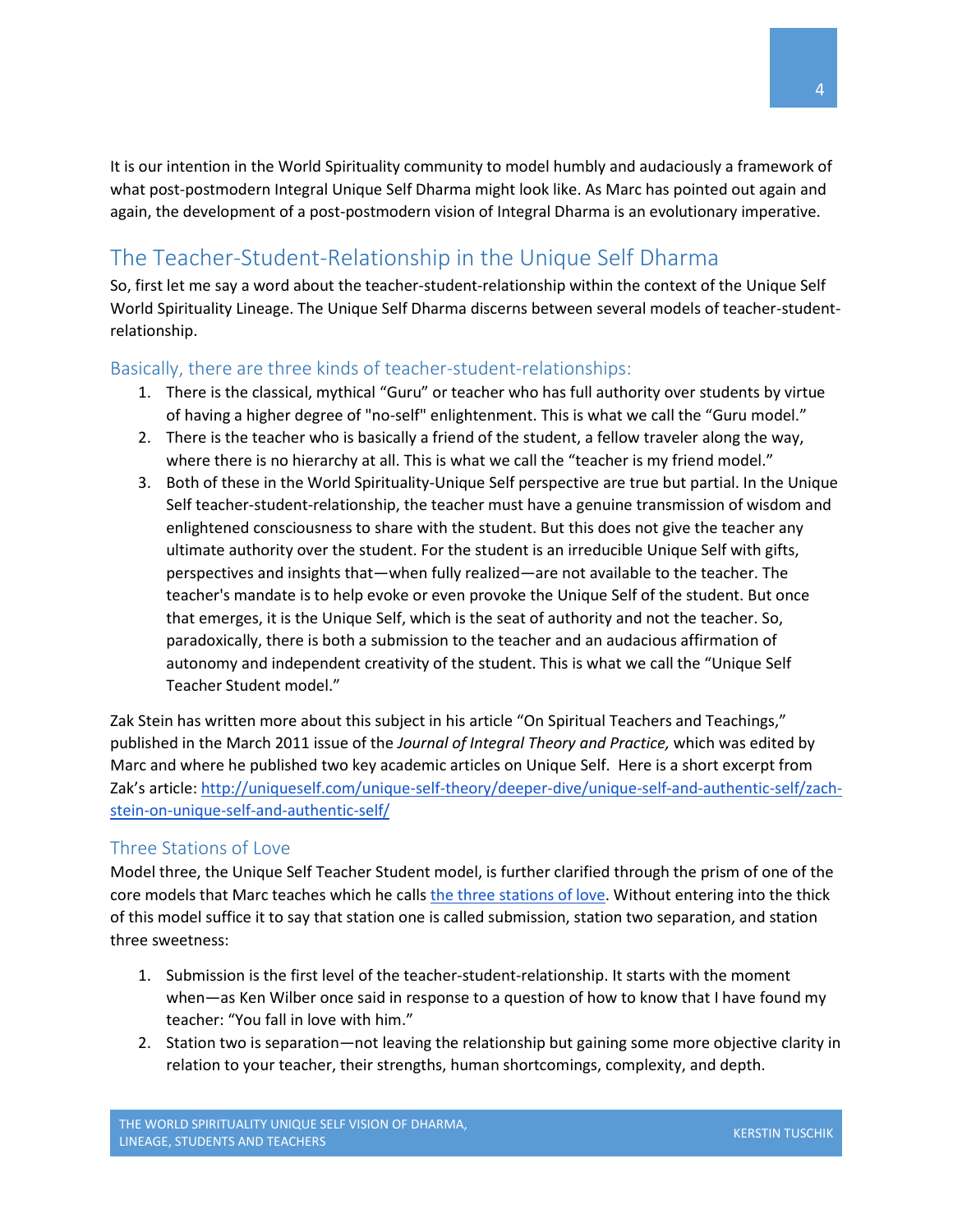It is our intention in the World Spirituality community to model humbly and audaciously a framework of what post-postmodern Integral Unique Self Dharma might look like. As Marc has pointed out again and again, the development of a post-postmodern vision of Integral Dharma is an evolutionary imperative.

# <span id="page-4-0"></span>The Teacher-Student-Relationship in the Unique Self Dharma

So, first let me say a word about the teacher-student-relationship within the context of the Unique Self World Spirituality Lineage. The Unique Self Dharma discerns between several models of teacher-studentrelationship.

#### <span id="page-4-1"></span>Basically, there are three kinds of teacher-student-relationships:

- 1. There is the classical, mythical "Guru" or teacher who has full authority over students by virtue of having a higher degree of "no-self" enlightenment. This is what we call the "Guru model."
- 2. There is the teacher who is basically a friend of the student, a fellow traveler along the way, where there is no hierarchy at all. This is what we call the "teacher is my friend model."
- 3. Both of these in the World Spirituality-Unique Self perspective are true but partial. In the Unique Self teacher-student-relationship, the teacher must have a genuine transmission of wisdom and enlightened consciousness to share with the student. But this does not give the teacher any ultimate authority over the student. For the student is an irreducible Unique Self with gifts, perspectives and insights that—when fully realized—are not available to the teacher. The teacher's mandate is to help evoke or even provoke the Unique Self of the student. But once that emerges, it is the Unique Self, which is the seat of authority and not the teacher. So, paradoxically, there is both a submission to the teacher and an audacious affirmation of autonomy and independent creativity of the student. This is what we call the "Unique Self Teacher Student model."

Zak Stein has written more about this subject in his article "On Spiritual Teachers and Teachings," published in the March 2011 issue of the *Journal of Integral Theory and Practice,* which was edited by Marc and where he published two key academic articles on Unique Self. Here is a short excerpt from Zak's article: [http://uniqueself.com/unique-self-theory/deeper-dive/unique-self-and-authentic-self/zach](http://uniqueself.com/unique-self-theory/deeper-dive/unique-self-and-authentic-self/zach-stein-on-unique-self-and-authentic-self/)[stein-on-unique-self-and-authentic-self/](http://uniqueself.com/unique-self-theory/deeper-dive/unique-self-and-authentic-self/zach-stein-on-unique-self-and-authentic-self/)

#### <span id="page-4-2"></span>Three Stations of Love

Model three, the Unique Self Teacher Student model, is further clarified through the prism of one of the core models that Marc teaches which he calls [the three stations of love.](http://www.marcgafni.com/englishenglishhebrewhebrew-393/) Without entering into the thick of this model suffice it to say that station one is called submission, station two separation, and station three sweetness:

- 1. Submission is the first level of the teacher-student-relationship. It starts with the moment when—as Ken Wilber once said in response to a question of how to know that I have found my teacher: "You fall in love with him."
- 2. Station two is separation—not leaving the relationship but gaining some more objective clarity in relation to your teacher, their strengths, human shortcomings, complexity, and depth.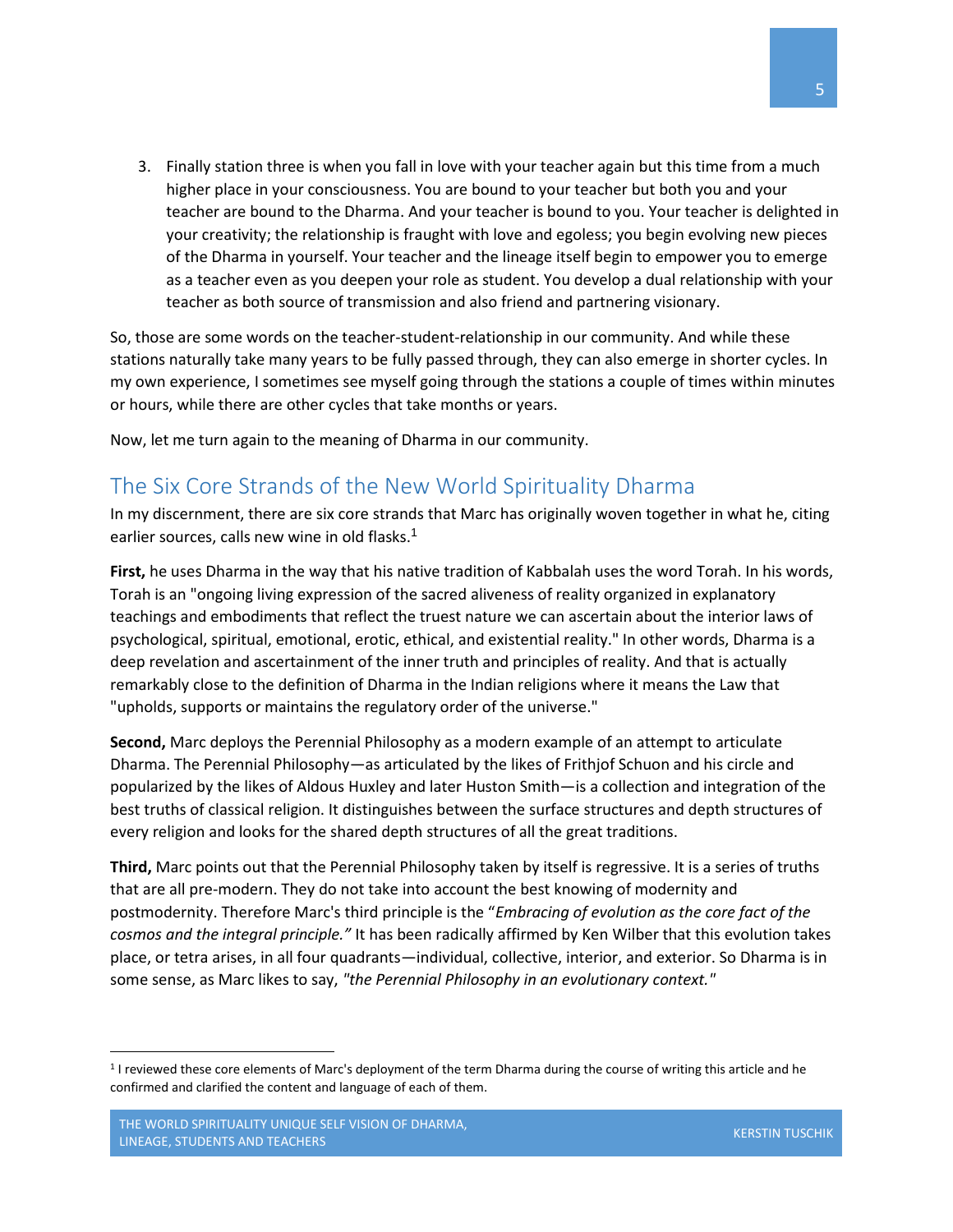3. Finally station three is when you fall in love with your teacher again but this time from a much higher place in your consciousness. You are bound to your teacher but both you and your teacher are bound to the Dharma. And your teacher is bound to you. Your teacher is delighted in your creativity; the relationship is fraught with love and egoless; you begin evolving new pieces of the Dharma in yourself. Your teacher and the lineage itself begin to empower you to emerge as a teacher even as you deepen your role as student. You develop a dual relationship with your teacher as both source of transmission and also friend and partnering visionary.

So, those are some words on the teacher-student-relationship in our community. And while these stations naturally take many years to be fully passed through, they can also emerge in shorter cycles. In my own experience, I sometimes see myself going through the stations a couple of times within minutes or hours, while there are other cycles that take months or years.

Now, let me turn again to the meaning of Dharma in our community.

#### <span id="page-5-0"></span>The Six Core Strands of the New World Spirituality Dharma

In my discernment, there are six core strands that Marc has originally woven together in what he, citing earlier sources, calls new wine in old flasks.<sup>1</sup>

**First,** he uses Dharma in the way that his native tradition of Kabbalah uses the word Torah. In his words, Torah is an "ongoing living expression of the sacred aliveness of reality organized in explanatory teachings and embodiments that reflect the truest nature we can ascertain about the interior laws of psychological, spiritual, emotional, erotic, ethical, and existential reality." In other words, Dharma is a deep revelation and ascertainment of the inner truth and principles of reality. And that is actually remarkably close to the definition of Dharma in the Indian religions where it means the Law that "upholds, supports or maintains the regulatory order of the universe."

**Second,** Marc deploys the Perennial Philosophy as a modern example of an attempt to articulate Dharma. The Perennial Philosophy—as articulated by the likes of Frithjof Schuon and his circle and popularized by the likes of Aldous Huxley and later Huston Smith—is a collection and integration of the best truths of classical religion. It distinguishes between the surface structures and depth structures of every religion and looks for the shared depth structures of all the great traditions.

**Third,** Marc points out that the Perennial Philosophy taken by itself is regressive. It is a series of truths that are all pre-modern. They do not take into account the best knowing of modernity and postmodernity. Therefore Marc's third principle is the "*Embracing of evolution as the core fact of the cosmos and the integral principle."* It has been radically affirmed by Ken Wilber that this evolution takes place, or tetra arises, in all four quadrants—individual, collective, interior, and exterior. So Dharma is in some sense, as Marc likes to say, *"the Perennial Philosophy in an evolutionary context."*

 $\overline{a}$ 

<sup>1</sup> I reviewed these core elements of Marc's deployment of the term Dharma during the course of writing this article and he confirmed and clarified the content and language of each of them.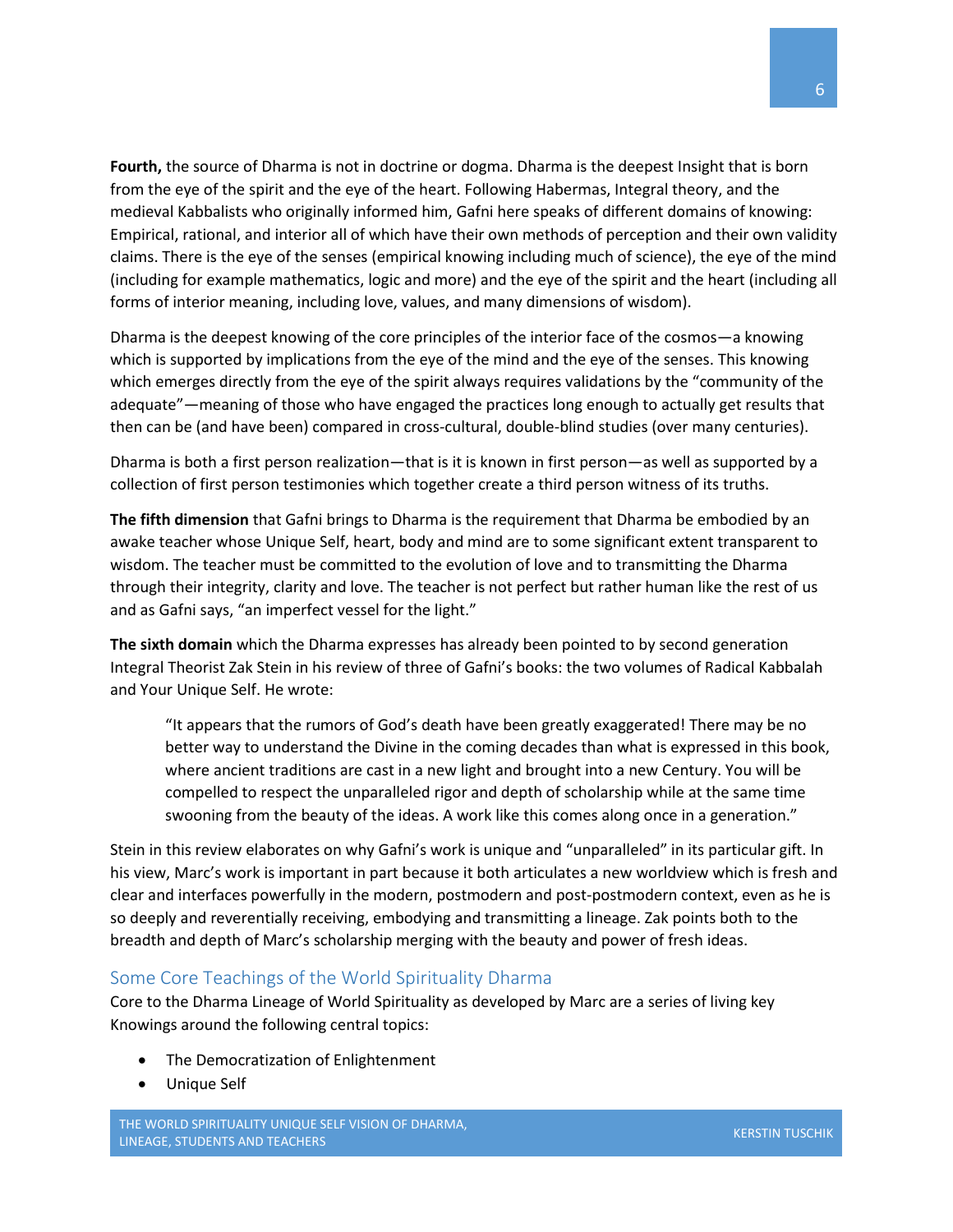**Fourth,** the source of Dharma is not in doctrine or dogma. Dharma is the deepest Insight that is born from the eye of the spirit and the eye of the heart. Following Habermas, Integral theory, and the medieval Kabbalists who originally informed him, Gafni here speaks of different domains of knowing: Empirical, rational, and interior all of which have their own methods of perception and their own validity claims. There is the eye of the senses (empirical knowing including much of science), the eye of the mind (including for example mathematics, logic and more) and the eye of the spirit and the heart (including all forms of interior meaning, including love, values, and many dimensions of wisdom).

Dharma is the deepest knowing of the core principles of the interior face of the cosmos—a knowing which is supported by implications from the eye of the mind and the eye of the senses. This knowing which emerges directly from the eye of the spirit always requires validations by the "community of the adequate"—meaning of those who have engaged the practices long enough to actually get results that then can be (and have been) compared in cross-cultural, double-blind studies (over many centuries).

Dharma is both a first person realization—that is it is known in first person—as well as supported by a collection of first person testimonies which together create a third person witness of its truths.

**The fifth dimension** that Gafni brings to Dharma is the requirement that Dharma be embodied by an awake teacher whose Unique Self, heart, body and mind are to some significant extent transparent to wisdom. The teacher must be committed to the evolution of love and to transmitting the Dharma through their integrity, clarity and love. The teacher is not perfect but rather human like the rest of us and as Gafni says, "an imperfect vessel for the light."

**The sixth domain** which the Dharma expresses has already been pointed to by second generation Integral Theorist Zak Stein in his review of three of Gafni's books: the two volumes of Radical Kabbalah and Your Unique Self. He wrote:

"It appears that the rumors of God's death have been greatly exaggerated! There may be no better way to understand the Divine in the coming decades than what is expressed in this book, where ancient traditions are cast in a new light and brought into a new Century. You will be compelled to respect the unparalleled rigor and depth of scholarship while at the same time swooning from the beauty of the ideas. A work like this comes along once in a generation."

Stein in this review elaborates on why Gafni's work is unique and "unparalleled" in its particular gift. In his view, Marc's work is important in part because it both articulates a new worldview which is fresh and clear and interfaces powerfully in the modern, postmodern and post-postmodern context, even as he is so deeply and reverentially receiving, embodying and transmitting a lineage. Zak points both to the breadth and depth of Marc's scholarship merging with the beauty and power of fresh ideas.

#### <span id="page-6-0"></span>Some Core Teachings of the World Spirituality Dharma

Core to the Dharma Lineage of World Spirituality as developed by Marc are a series of living key Knowings around the following central topics:

- The Democratization of Enlightenment
- Unique Self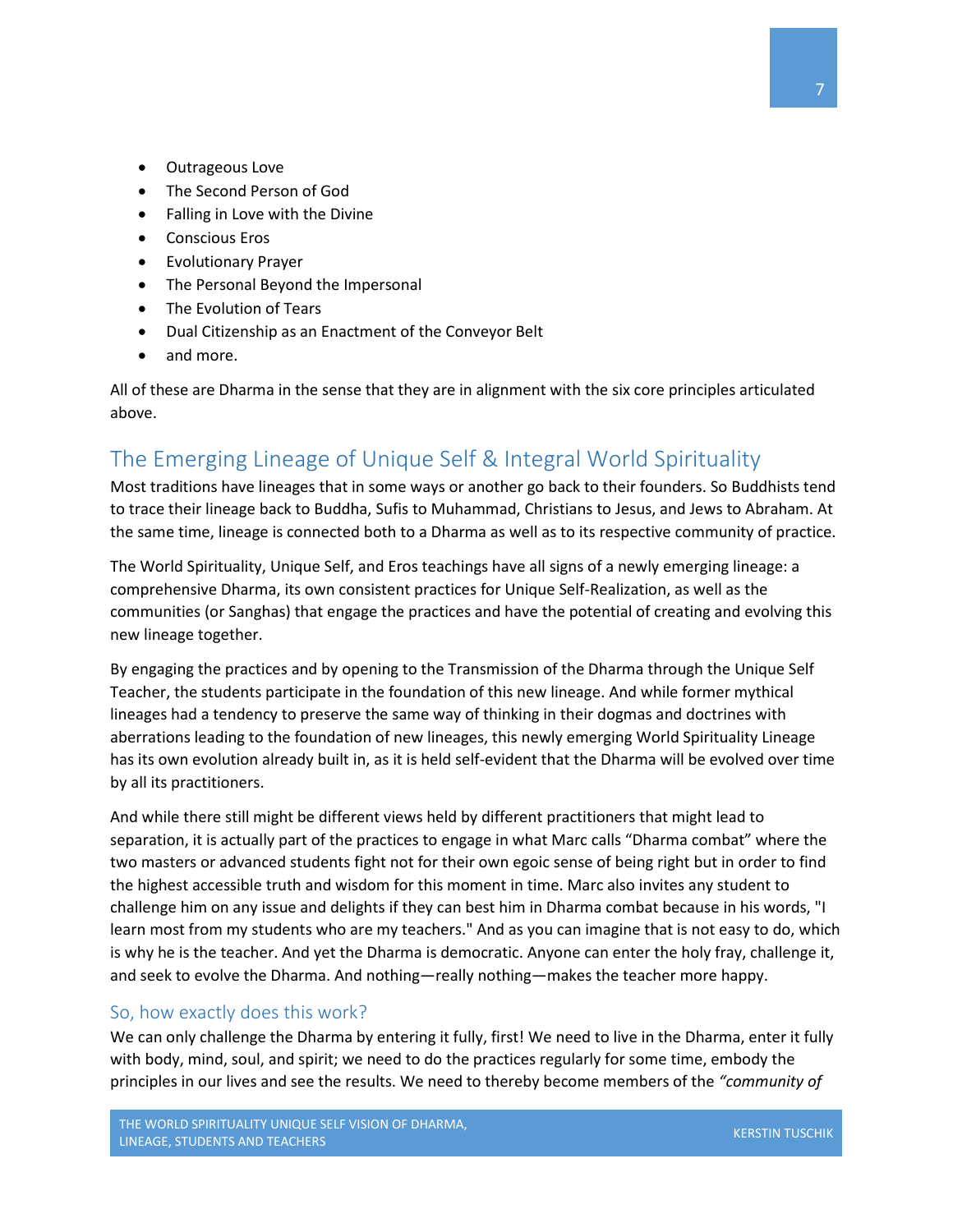- Outrageous Love
- The Second Person of God
- Falling in Love with the Divine
- Conscious Eros
- Evolutionary Prayer
- The Personal Beyond the Impersonal
- The Evolution of Tears
- Dual Citizenship as an Enactment of the Conveyor Belt
- and more.

All of these are Dharma in the sense that they are in alignment with the six core principles articulated above.

## <span id="page-7-0"></span>The Emerging Lineage of Unique Self & Integral World Spirituality

Most traditions have lineages that in some ways or another go back to their founders. So Buddhists tend to trace their lineage back to Buddha, Sufis to Muhammad, Christians to Jesus, and Jews to Abraham. At the same time, lineage is connected both to a Dharma as well as to its respective community of practice.

The World Spirituality, Unique Self, and Eros teachings have all signs of a newly emerging lineage: a comprehensive Dharma, its own consistent practices for Unique Self-Realization, as well as the communities (or Sanghas) that engage the practices and have the potential of creating and evolving this new lineage together.

By engaging the practices and by opening to the Transmission of the Dharma through the Unique Self Teacher, the students participate in the foundation of this new lineage. And while former mythical lineages had a tendency to preserve the same way of thinking in their dogmas and doctrines with aberrations leading to the foundation of new lineages, this newly emerging World Spirituality Lineage has its own evolution already built in, as it is held self-evident that the Dharma will be evolved over time by all its practitioners.

And while there still might be different views held by different practitioners that might lead to separation, it is actually part of the practices to engage in what Marc calls "Dharma combat" where the two masters or advanced students fight not for their own egoic sense of being right but in order to find the highest accessible truth and wisdom for this moment in time. Marc also invites any student to challenge him on any issue and delights if they can best him in Dharma combat because in his words, "I learn most from my students who are my teachers." And as you can imagine that is not easy to do, which is why he is the teacher. And yet the Dharma is democratic. Anyone can enter the holy fray, challenge it, and seek to evolve the Dharma. And nothing—really nothing—makes the teacher more happy.

#### <span id="page-7-1"></span>So, how exactly does this work?

We can only challenge the Dharma by entering it fully, first! We need to live in the Dharma, enter it fully with body, mind, soul, and spirit; we need to do the practices regularly for some time, embody the principles in our lives and see the results. We need to thereby become members of the *"community of*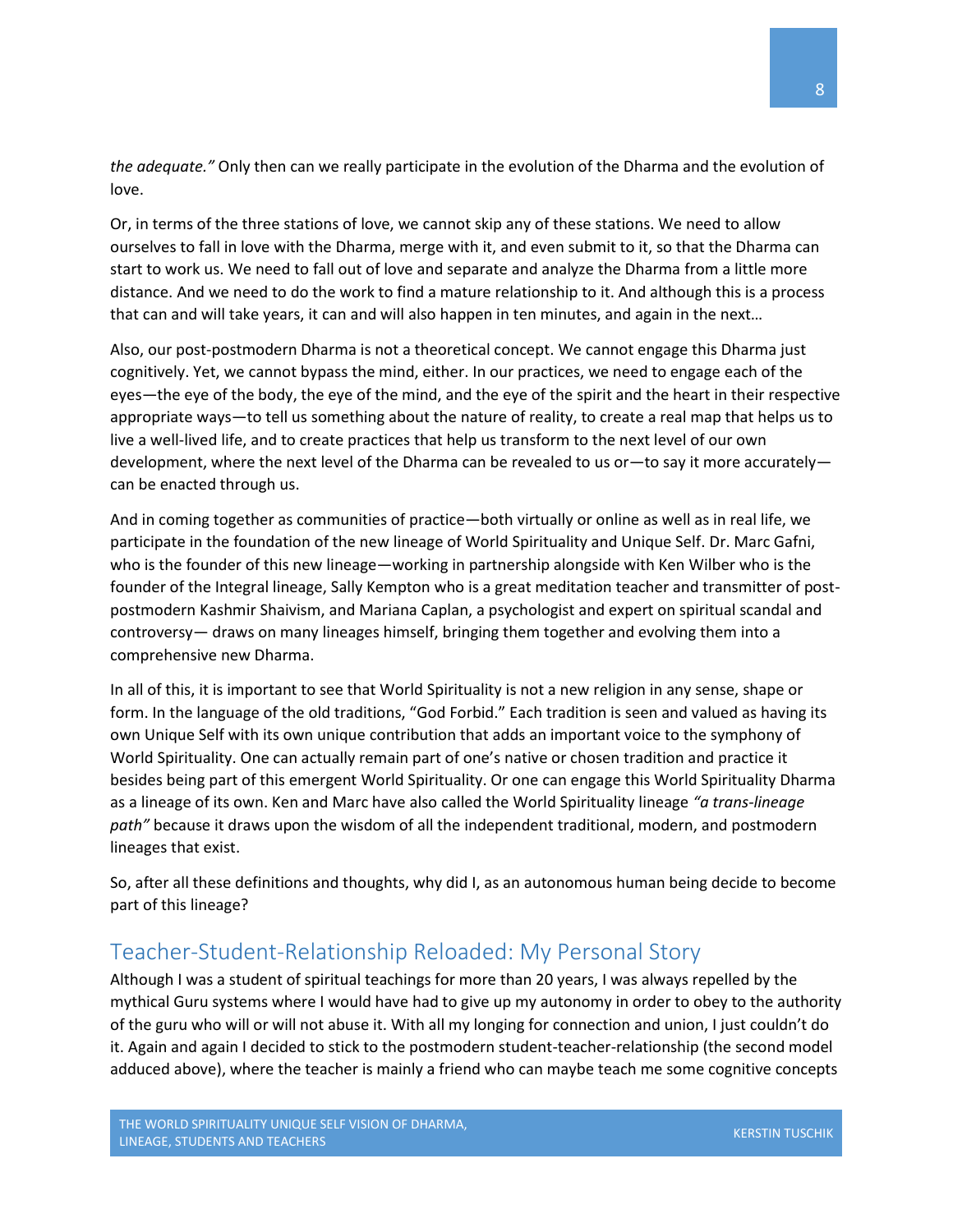*the adequate."* Only then can we really participate in the evolution of the Dharma and the evolution of love.

Or, in terms of the three stations of love, we cannot skip any of these stations. We need to allow ourselves to fall in love with the Dharma, merge with it, and even submit to it, so that the Dharma can start to work us. We need to fall out of love and separate and analyze the Dharma from a little more distance. And we need to do the work to find a mature relationship to it. And although this is a process that can and will take years, it can and will also happen in ten minutes, and again in the next…

Also, our post-postmodern Dharma is not a theoretical concept. We cannot engage this Dharma just cognitively. Yet, we cannot bypass the mind, either. In our practices, we need to engage each of the eyes—the eye of the body, the eye of the mind, and the eye of the spirit and the heart in their respective appropriate ways—to tell us something about the nature of reality, to create a real map that helps us to live a well-lived life, and to create practices that help us transform to the next level of our own development, where the next level of the Dharma can be revealed to us or—to say it more accurately can be enacted through us.

And in coming together as communities of practice—both virtually or online as well as in real life, we participate in the foundation of the new lineage of World Spirituality and Unique Self. Dr. Marc Gafni, who is the founder of this new lineage—working in partnership alongside with Ken Wilber who is the founder of the Integral lineage, Sally Kempton who is a great meditation teacher and transmitter of postpostmodern Kashmir Shaivism, and Mariana Caplan, a psychologist and expert on spiritual scandal and controversy— draws on many lineages himself, bringing them together and evolving them into a comprehensive new Dharma.

In all of this, it is important to see that World Spirituality is not a new religion in any sense, shape or form. In the language of the old traditions, "God Forbid." Each tradition is seen and valued as having its own Unique Self with its own unique contribution that adds an important voice to the symphony of World Spirituality. One can actually remain part of one's native or chosen tradition and practice it besides being part of this emergent World Spirituality. Or one can engage this World Spirituality Dharma as a lineage of its own. Ken and Marc have also called the World Spirituality lineage *"a trans-lineage path"* because it draws upon the wisdom of all the independent traditional, modern, and postmodern lineages that exist.

So, after all these definitions and thoughts, why did I, as an autonomous human being decide to become part of this lineage?

#### <span id="page-8-0"></span>Teacher-Student-Relationship Reloaded: My Personal Story

Although I was a student of spiritual teachings for more than 20 years, I was always repelled by the mythical Guru systems where I would have had to give up my autonomy in order to obey to the authority of the guru who will or will not abuse it. With all my longing for connection and union, I just couldn't do it. Again and again I decided to stick to the postmodern student-teacher-relationship (the second model adduced above), where the teacher is mainly a friend who can maybe teach me some cognitive concepts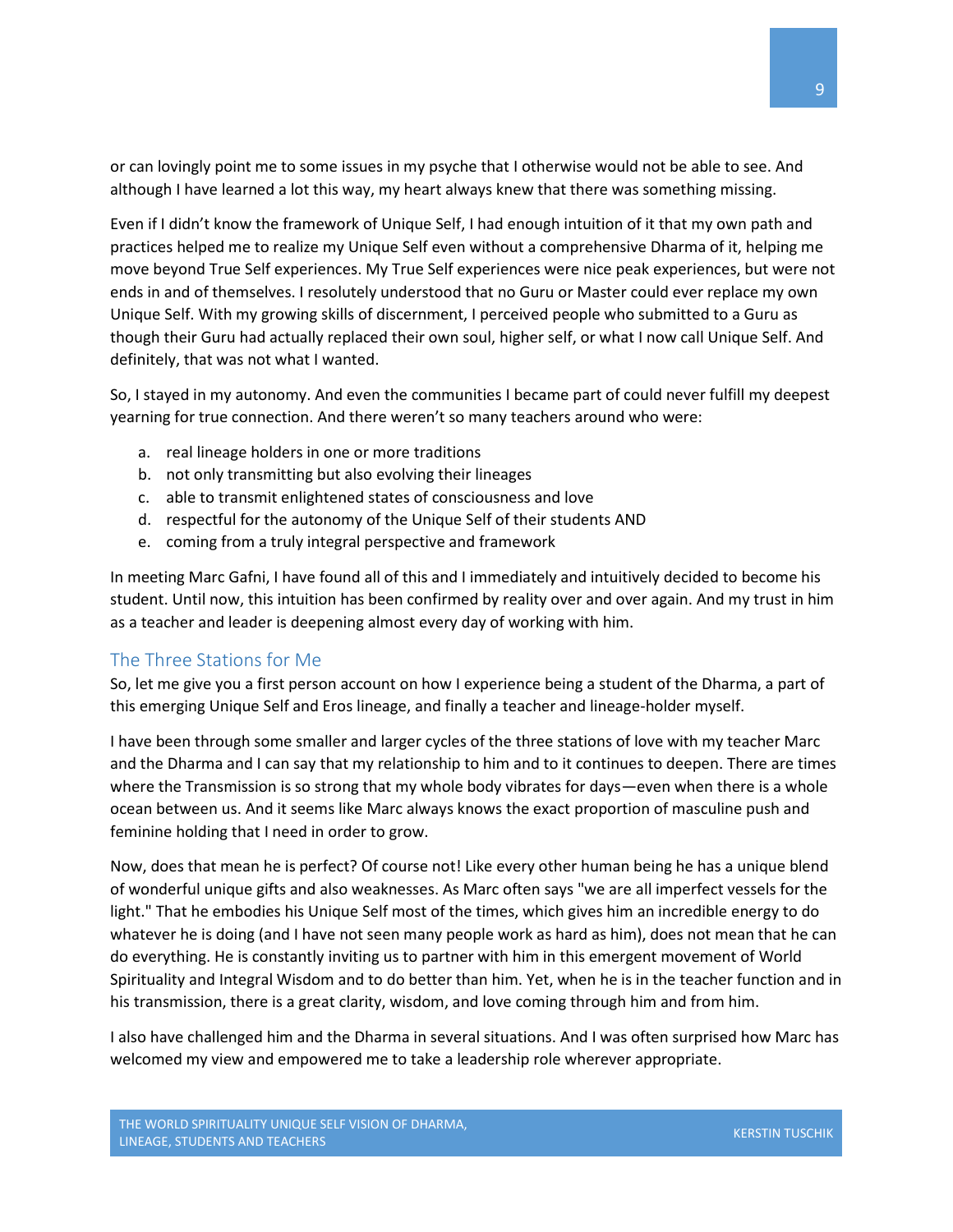or can lovingly point me to some issues in my psyche that I otherwise would not be able to see. And although I have learned a lot this way, my heart always knew that there was something missing.

Even if I didn't know the framework of Unique Self, I had enough intuition of it that my own path and practices helped me to realize my Unique Self even without a comprehensive Dharma of it, helping me move beyond True Self experiences. My True Self experiences were nice peak experiences, but were not ends in and of themselves. I resolutely understood that no Guru or Master could ever replace my own Unique Self. With my growing skills of discernment, I perceived people who submitted to a Guru as though their Guru had actually replaced their own soul, higher self, or what I now call Unique Self. And definitely, that was not what I wanted.

So, I stayed in my autonomy. And even the communities I became part of could never fulfill my deepest yearning for true connection. And there weren't so many teachers around who were:

- a. real lineage holders in one or more traditions
- b. not only transmitting but also evolving their lineages
- c. able to transmit enlightened states of consciousness and love
- d. respectful for the autonomy of the Unique Self of their students AND
- e. coming from a truly integral perspective and framework

In meeting Marc Gafni, I have found all of this and I immediately and intuitively decided to become his student. Until now, this intuition has been confirmed by reality over and over again. And my trust in him as a teacher and leader is deepening almost every day of working with him.

#### <span id="page-9-0"></span>The Three Stations for Me

So, let me give you a first person account on how I experience being a student of the Dharma, a part of this emerging Unique Self and Eros lineage, and finally a teacher and lineage-holder myself.

I have been through some smaller and larger cycles of the three stations of love with my teacher Marc and the Dharma and I can say that my relationship to him and to it continues to deepen. There are times where the Transmission is so strong that my whole body vibrates for days—even when there is a whole ocean between us. And it seems like Marc always knows the exact proportion of masculine push and feminine holding that I need in order to grow.

Now, does that mean he is perfect? Of course not! Like every other human being he has a unique blend of wonderful unique gifts and also weaknesses. As Marc often says "we are all imperfect vessels for the light." That he embodies his Unique Self most of the times, which gives him an incredible energy to do whatever he is doing (and I have not seen many people work as hard as him), does not mean that he can do everything. He is constantly inviting us to partner with him in this emergent movement of World Spirituality and Integral Wisdom and to do better than him. Yet, when he is in the teacher function and in his transmission, there is a great clarity, wisdom, and love coming through him and from him.

I also have challenged him and the Dharma in several situations. And I was often surprised how Marc has welcomed my view and empowered me to take a leadership role wherever appropriate.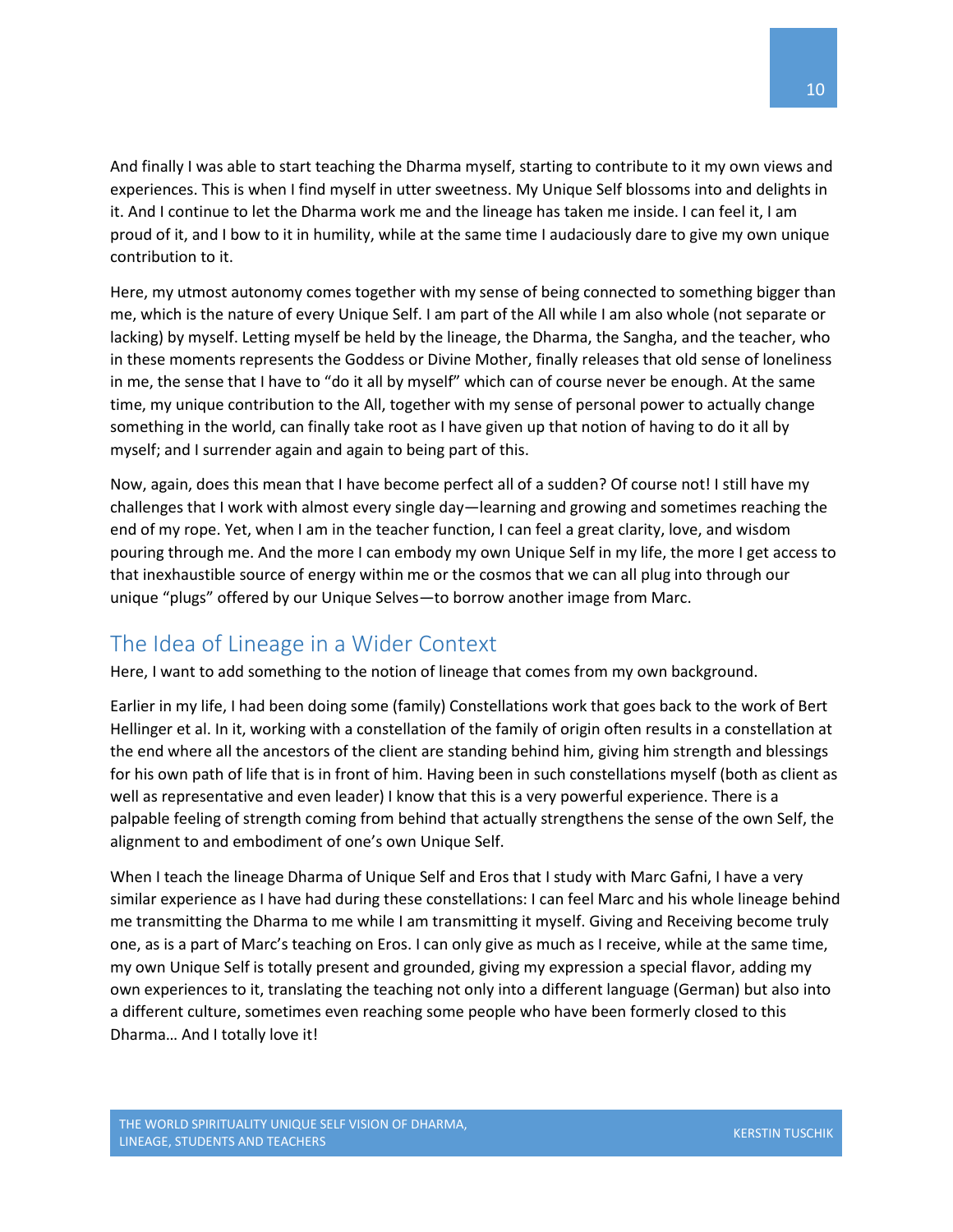And finally I was able to start teaching the Dharma myself, starting to contribute to it my own views and experiences. This is when I find myself in utter sweetness. My Unique Self blossoms into and delights in it. And I continue to let the Dharma work me and the lineage has taken me inside. I can feel it, I am proud of it, and I bow to it in humility, while at the same time I audaciously dare to give my own unique contribution to it.

Here, my utmost autonomy comes together with my sense of being connected to something bigger than me, which is the nature of every Unique Self. I am part of the All while I am also whole (not separate or lacking) by myself. Letting myself be held by the lineage, the Dharma, the Sangha, and the teacher, who in these moments represents the Goddess or Divine Mother, finally releases that old sense of loneliness in me, the sense that I have to "do it all by myself" which can of course never be enough. At the same time, my unique contribution to the All, together with my sense of personal power to actually change something in the world, can finally take root as I have given up that notion of having to do it all by myself; and I surrender again and again to being part of this.

Now, again, does this mean that I have become perfect all of a sudden? Of course not! I still have my challenges that I work with almost every single day—learning and growing and sometimes reaching the end of my rope. Yet, when I am in the teacher function, I can feel a great clarity, love, and wisdom pouring through me. And the more I can embody my own Unique Self in my life, the more I get access to that inexhaustible source of energy within me or the cosmos that we can all plug into through our unique "plugs" offered by our Unique Selves—to borrow another image from Marc.

## <span id="page-10-0"></span>The Idea of Lineage in a Wider Context

Here, I want to add something to the notion of lineage that comes from my own background.

Earlier in my life, I had been doing some (family) Constellations work that goes back to the work of Bert Hellinger et al. In it, working with a constellation of the family of origin often results in a constellation at the end where all the ancestors of the client are standing behind him, giving him strength and blessings for his own path of life that is in front of him. Having been in such constellations myself (both as client as well as representative and even leader) I know that this is a very powerful experience. There is a palpable feeling of strength coming from behind that actually strengthens the sense of the own Self, the alignment to and embodiment of one's own Unique Self.

When I teach the lineage Dharma of Unique Self and Eros that I study with Marc Gafni, I have a very similar experience as I have had during these constellations: I can feel Marc and his whole lineage behind me transmitting the Dharma to me while I am transmitting it myself. Giving and Receiving become truly one, as is a part of Marc's teaching on Eros. I can only give as much as I receive, while at the same time, my own Unique Self is totally present and grounded, giving my expression a special flavor, adding my own experiences to it, translating the teaching not only into a different language (German) but also into a different culture, sometimes even reaching some people who have been formerly closed to this Dharma… And I totally love it!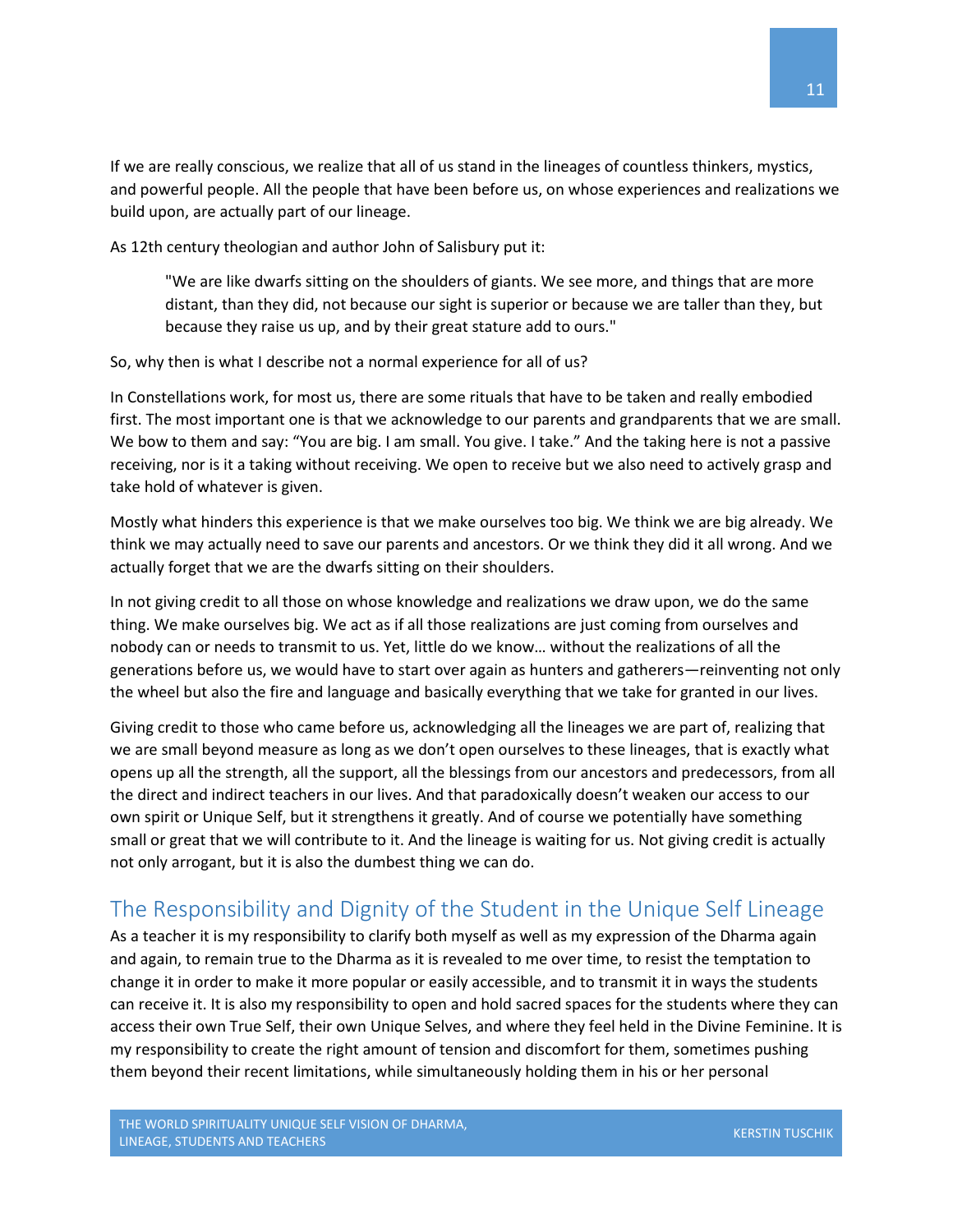If we are really conscious, we realize that all of us stand in the lineages of countless thinkers, mystics, and powerful people. All the people that have been before us, on whose experiences and realizations we build upon, are actually part of our lineage.

As 12th century theologian and author John of Salisbury put it:

"We are like dwarfs sitting on the shoulders of giants. We see more, and things that are more distant, than they did, not because our sight is superior or because we are taller than they, but because they raise us up, and by their great stature add to ours."

So, why then is what I describe not a normal experience for all of us?

In Constellations work, for most us, there are some rituals that have to be taken and really embodied first. The most important one is that we acknowledge to our parents and grandparents that we are small. We bow to them and say: "You are big. I am small. You give. I take." And the taking here is not a passive receiving, nor is it a taking without receiving. We open to receive but we also need to actively grasp and take hold of whatever is given.

Mostly what hinders this experience is that we make ourselves too big. We think we are big already. We think we may actually need to save our parents and ancestors. Or we think they did it all wrong. And we actually forget that we are the dwarfs sitting on their shoulders.

In not giving credit to all those on whose knowledge and realizations we draw upon, we do the same thing. We make ourselves big. We act as if all those realizations are just coming from ourselves and nobody can or needs to transmit to us. Yet, little do we know… without the realizations of all the generations before us, we would have to start over again as hunters and gatherers—reinventing not only the wheel but also the fire and language and basically everything that we take for granted in our lives.

Giving credit to those who came before us, acknowledging all the lineages we are part of, realizing that we are small beyond measure as long as we don't open ourselves to these lineages, that is exactly what opens up all the strength, all the support, all the blessings from our ancestors and predecessors, from all the direct and indirect teachers in our lives. And that paradoxically doesn't weaken our access to our own spirit or Unique Self, but it strengthens it greatly. And of course we potentially have something small or great that we will contribute to it. And the lineage is waiting for us. Not giving credit is actually not only arrogant, but it is also the dumbest thing we can do.

## <span id="page-11-0"></span>The Responsibility and Dignity of the Student in the Unique Self Lineage

As a teacher it is my responsibility to clarify both myself as well as my expression of the Dharma again and again, to remain true to the Dharma as it is revealed to me over time, to resist the temptation to change it in order to make it more popular or easily accessible, and to transmit it in ways the students can receive it. It is also my responsibility to open and hold sacred spaces for the students where they can access their own True Self, their own Unique Selves, and where they feel held in the Divine Feminine. It is my responsibility to create the right amount of tension and discomfort for them, sometimes pushing them beyond their recent limitations, while simultaneously holding them in his or her personal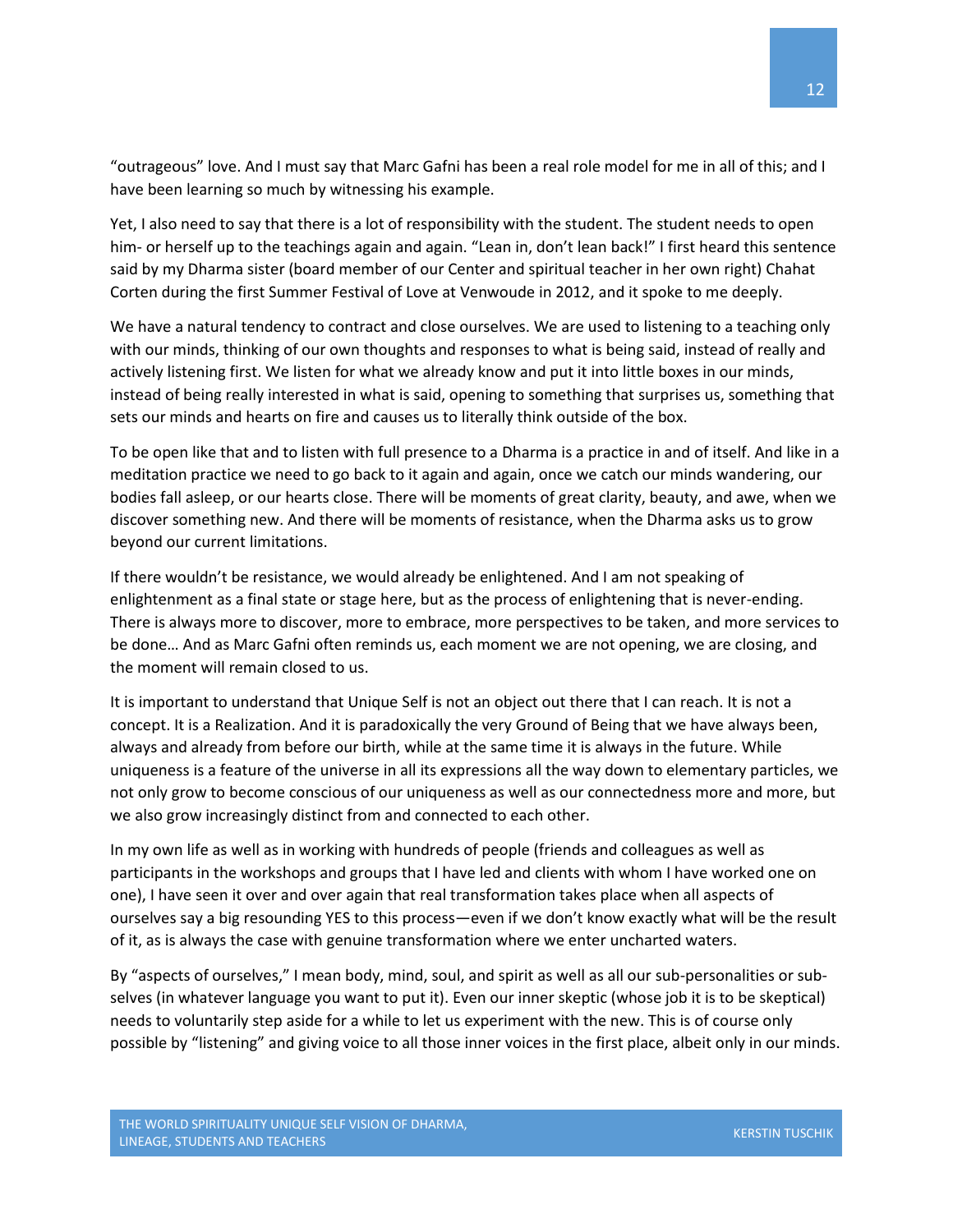"outrageous" love. And I must say that Marc Gafni has been a real role model for me in all of this; and I have been learning so much by witnessing his example.

Yet, I also need to say that there is a lot of responsibility with the student. The student needs to open him- or herself up to the teachings again and again. "Lean in, don't lean back!" I first heard this sentence said by my Dharma sister (board member of our Center and spiritual teacher in her own right) Chahat Corten during the first Summer Festival of Love at Venwoude in 2012, and it spoke to me deeply.

We have a natural tendency to contract and close ourselves. We are used to listening to a teaching only with our minds, thinking of our own thoughts and responses to what is being said, instead of really and actively listening first. We listen for what we already know and put it into little boxes in our minds, instead of being really interested in what is said, opening to something that surprises us, something that sets our minds and hearts on fire and causes us to literally think outside of the box.

To be open like that and to listen with full presence to a Dharma is a practice in and of itself. And like in a meditation practice we need to go back to it again and again, once we catch our minds wandering, our bodies fall asleep, or our hearts close. There will be moments of great clarity, beauty, and awe, when we discover something new. And there will be moments of resistance, when the Dharma asks us to grow beyond our current limitations.

If there wouldn't be resistance, we would already be enlightened. And I am not speaking of enlightenment as a final state or stage here, but as the process of enlightening that is never-ending. There is always more to discover, more to embrace, more perspectives to be taken, and more services to be done… And as Marc Gafni often reminds us, each moment we are not opening, we are closing, and the moment will remain closed to us.

It is important to understand that Unique Self is not an object out there that I can reach. It is not a concept. It is a Realization. And it is paradoxically the very Ground of Being that we have always been, always and already from before our birth, while at the same time it is always in the future. While uniqueness is a feature of the universe in all its expressions all the way down to elementary particles, we not only grow to become conscious of our uniqueness as well as our connectedness more and more, but we also grow increasingly distinct from and connected to each other.

In my own life as well as in working with hundreds of people (friends and colleagues as well as participants in the workshops and groups that I have led and clients with whom I have worked one on one), I have seen it over and over again that real transformation takes place when all aspects of ourselves say a big resounding YES to this process—even if we don't know exactly what will be the result of it, as is always the case with genuine transformation where we enter uncharted waters.

By "aspects of ourselves," I mean body, mind, soul, and spirit as well as all our sub-personalities or subselves (in whatever language you want to put it). Even our inner skeptic (whose job it is to be skeptical) needs to voluntarily step aside for a while to let us experiment with the new. This is of course only possible by "listening" and giving voice to all those inner voices in the first place, albeit only in our minds.